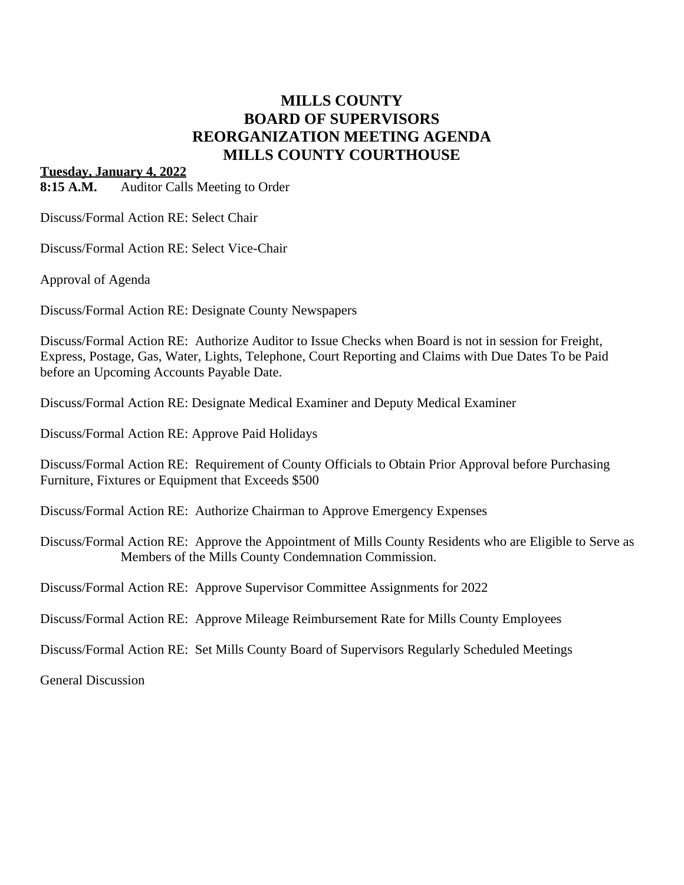## **MILLS COUNTY BOARD OF SUPERVISORS REORGANIZATION MEETING AGENDA MILLS COUNTY COURTHOUSE**

## **Tuesday, January 4, 2022**

**8:15 A.M.** Auditor Calls Meeting to Order

Discuss/Formal Action RE: Select Chair

Discuss/Formal Action RE: Select Vice-Chair

Approval of Agenda

Discuss/Formal Action RE: Designate County Newspapers

Discuss/Formal Action RE: Authorize Auditor to Issue Checks when Board is not in session for Freight, Express, Postage, Gas, Water, Lights, Telephone, Court Reporting and Claims with Due Dates To be Paid before an Upcoming Accounts Payable Date.

Discuss/Formal Action RE: Designate Medical Examiner and Deputy Medical Examiner

Discuss/Formal Action RE: Approve Paid Holidays

Discuss/Formal Action RE: Requirement of County Officials to Obtain Prior Approval before Purchasing Furniture, Fixtures or Equipment that Exceeds \$500

Discuss/Formal Action RE: Authorize Chairman to Approve Emergency Expenses

Discuss/Formal Action RE: Approve the Appointment of Mills County Residents who are Eligible to Serve as Members of the Mills County Condemnation Commission.

Discuss/Formal Action RE: Approve Supervisor Committee Assignments for 2022

Discuss/Formal Action RE: Approve Mileage Reimbursement Rate for Mills County Employees

Discuss/Formal Action RE: Set Mills County Board of Supervisors Regularly Scheduled Meetings

General Discussion